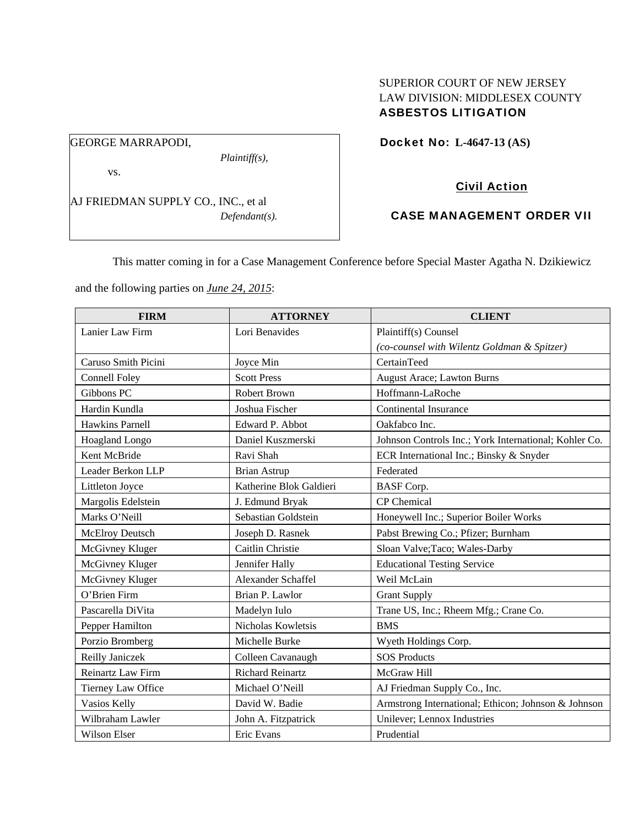## SUPERIOR COURT OF NEW JERSEY LAW DIVISION: MIDDLESEX COUNTY ASBESTOS LITIGATION

Docket No: **L-4647-13 (AS)** 

vs.

GEORGE MARRAPODI,

AJ FRIEDMAN SUPPLY CO., INC., et al *Defendant(s).*

*Plaintiff(s),* 

# Civil Action

## CASE MANAGEMENT ORDER VII

This matter coming in for a Case Management Conference before Special Master Agatha N. Dzikiewicz

and the following parties on *June 24, 2015*:

| <b>FIRM</b>          | <b>ATTORNEY</b>         | <b>CLIENT</b>                                         |
|----------------------|-------------------------|-------------------------------------------------------|
| Lanier Law Firm      | Lori Benavides          | Plaintiff(s) Counsel                                  |
|                      |                         | (co-counsel with Wilentz Goldman & Spitzer)           |
| Caruso Smith Picini  | Joyce Min               | CertainTeed                                           |
| <b>Connell Foley</b> | <b>Scott Press</b>      | August Arace; Lawton Burns                            |
| Gibbons PC           | <b>Robert Brown</b>     | Hoffmann-LaRoche                                      |
| Hardin Kundla        | Joshua Fischer          | <b>Continental Insurance</b>                          |
| Hawkins Parnell      | Edward P. Abbot         | Oakfabco Inc.                                         |
| Hoagland Longo       | Daniel Kuszmerski       | Johnson Controls Inc.; York International; Kohler Co. |
| Kent McBride         | Ravi Shah               | ECR International Inc.; Binsky & Snyder               |
| Leader Berkon LLP    | <b>Brian Astrup</b>     | Federated                                             |
| Littleton Joyce      | Katherine Blok Galdieri | <b>BASF</b> Corp.                                     |
| Margolis Edelstein   | J. Edmund Bryak         | <b>CP</b> Chemical                                    |
| Marks O'Neill        | Sebastian Goldstein     | Honeywell Inc.; Superior Boiler Works                 |
| McElroy Deutsch      | Joseph D. Rasnek        | Pabst Brewing Co.; Pfizer; Burnham                    |
| McGivney Kluger      | Caitlin Christie        | Sloan Valve; Taco; Wales-Darby                        |
| McGivney Kluger      | Jennifer Hally          | <b>Educational Testing Service</b>                    |
| McGivney Kluger      | Alexander Schaffel      | Weil McLain                                           |
| O'Brien Firm         | Brian P. Lawlor         | <b>Grant Supply</b>                                   |
| Pascarella DiVita    | Madelyn Iulo            | Trane US, Inc.; Rheem Mfg.; Crane Co.                 |
| Pepper Hamilton      | Nicholas Kowletsis      | <b>BMS</b>                                            |
| Porzio Bromberg      | Michelle Burke          | Wyeth Holdings Corp.                                  |
| Reilly Janiczek      | Colleen Cavanaugh       | <b>SOS Products</b>                                   |
| Reinartz Law Firm    | <b>Richard Reinartz</b> | McGraw Hill                                           |
| Tierney Law Office   | Michael O'Neill         | AJ Friedman Supply Co., Inc.                          |
| Vasios Kelly         | David W. Badie          | Armstrong International; Ethicon; Johnson & Johnson   |
| Wilbraham Lawler     | John A. Fitzpatrick     | Unilever; Lennox Industries                           |
| Wilson Elser         | Eric Evans              | Prudential                                            |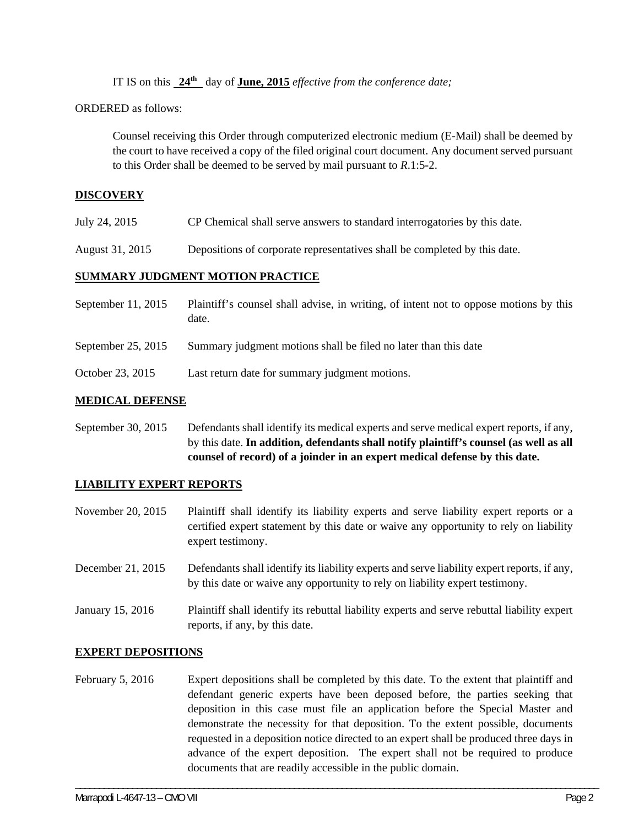IT IS on this **24th** day of **June, 2015** *effective from the conference date;*

ORDERED as follows:

Counsel receiving this Order through computerized electronic medium (E-Mail) shall be deemed by the court to have received a copy of the filed original court document. Any document served pursuant to this Order shall be deemed to be served by mail pursuant to *R*.1:5-2.

### **DISCOVERY**

- July 24, 2015 CP Chemical shall serve answers to standard interrogatories by this date.
- August 31, 2015 Depositions of corporate representatives shall be completed by this date.

### **SUMMARY JUDGMENT MOTION PRACTICE**

| September $11, 2015$ | Plaintiff's counsel shall advise, in writing, of intent not to oppose motions by this<br>date. |
|----------------------|------------------------------------------------------------------------------------------------|
| September 25, 2015   | Summary judgment motions shall be filed no later than this date                                |
| October 23, 2015     | Last return date for summary judgment motions.                                                 |

#### **MEDICAL DEFENSE**

September 30, 2015 Defendants shall identify its medical experts and serve medical expert reports, if any, by this date. **In addition, defendants shall notify plaintiff's counsel (as well as all counsel of record) of a joinder in an expert medical defense by this date.** 

#### **LIABILITY EXPERT REPORTS**

November 20, 2015 Plaintiff shall identify its liability experts and serve liability expert reports or a certified expert statement by this date or waive any opportunity to rely on liability expert testimony.

- December 21, 2015 Defendants shall identify its liability experts and serve liability expert reports, if any, by this date or waive any opportunity to rely on liability expert testimony.
- January 15, 2016 Plaintiff shall identify its rebuttal liability experts and serve rebuttal liability expert reports, if any, by this date.

#### **EXPERT DEPOSITIONS**

February 5, 2016 Expert depositions shall be completed by this date. To the extent that plaintiff and defendant generic experts have been deposed before, the parties seeking that deposition in this case must file an application before the Special Master and demonstrate the necessity for that deposition. To the extent possible, documents requested in a deposition notice directed to an expert shall be produced three days in advance of the expert deposition. The expert shall not be required to produce documents that are readily accessible in the public domain.

\_\_\_\_\_\_\_\_\_\_\_\_\_\_\_\_\_\_\_\_\_\_\_\_\_\_\_\_\_\_\_\_\_\_\_\_\_\_\_\_\_\_\_\_\_\_\_\_\_\_\_\_\_\_\_\_\_\_\_\_\_\_\_\_\_\_\_\_\_\_\_\_\_\_\_\_\_\_\_\_\_\_\_\_\_\_\_\_\_\_\_\_\_\_\_\_\_\_\_\_\_\_\_\_\_\_\_\_\_\_